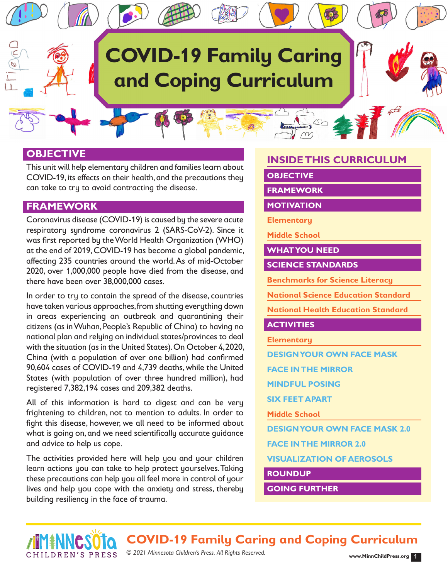# **COVID-19 Family Caring and Coping Curriculum**

#### **OBJECTIVE**

This unit will help elementary children and families learn about COVID-19, its effects on their health, and the precautions they can take to try to avoid contracting the disease.

## **FRAMEWORK**

CHILDREN'S PRESS

Coronavirus disease (COVID-19) is caused by the severe acute respiratory syndrome coronavirus 2 (SARS-CoV-2). Since it was first reported by the World Health Organization (WHO) at the end of 2019, COVID-19 has become a global pandemic, affecting 235 countries around the world. As of mid-October 2020, over 1,000,000 people have died from the disease, and there have been over 38,000,000 cases.

In order to try to contain the spread of the disease, countries have taken various approaches, from shutting everything down in areas experiencing an outbreak and quarantining their citizens (as in Wuhan, People's Republic of China) to having no national plan and relying on individual states/provinces to deal with the situation (as in the United States). On October 4, 2020, China (with a population of over one billion) had confirmed 90,604 cases of COVID-19 and 4,739 deaths, while the United States (with population of over three hundred million), had registered 7,382,194 cases and 209,382 deaths.

All of this information is hard to digest and can be very frightening to children, not to mention to adults. In order to fight this disease, however, we all need to be informed about what is going on, and we need scientifically accurate guidance and advice to help us cope.

The activities provided here will help you and your children learn actions you can take to help protect yourselves. Taking these precautions can help you all feel more in control of your lives and help you cope with the anxiety and stress, thereby building resiliency in the face of trauma.

## **INSIDE THIS CURRICULUM**

 $\infty$ 

#### **OBJECTIVE**

**FRAMEWORK**

**MOTIVATION**

**Elementary**

**Middle School**

**WHAT YOU NEED**

**SCIENCE STANDARDS**

**Benchmarks for Science Literacy**

**National Science Education Standard**

**National Health Education Standard**

#### **ACTIVITIES**

**Elementary**

**DESIGN YOUR OWN FACE MASK**

**FACE IN THE MIRROR**

**MINDFUL POSING**

**SIX FEET APART**

**Middle School**

**DESIGN YOUR OWN FACE MASK 2.0**

**FACE IN THE MIRROR 2.0**

**VISUALIZATION OF AEROSOLS**

**ROUNDUP**

**GOING FURTHER**

**COVID-19 Family Caring and Coping Curriculum**

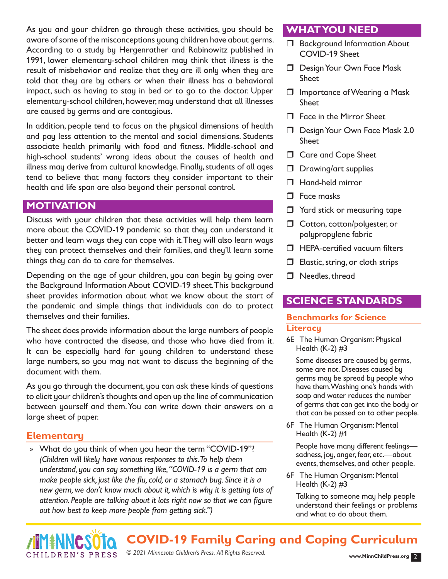As you and your children go through these activities, you should be aware of some of the misconceptions young children have about germs. According to a study by Hergenrather and Rabinowitz published in 1991, lower elementary-school children may think that illness is the result of misbehavior and realize that they are ill only when they are told that they are by others or when their illness has a behavioral impact, such as having to stay in bed or to go to the doctor. Upper elementary-school children, however, may understand that all illnesses are caused by germs and are contagious.

In addition, people tend to focus on the physical dimensions of health and pay less attention to the mental and social dimensions. Students associate health primarily with food and fitness. Middle-school and high-school students' wrong ideas about the causes of health and illness may derive from cultural knowledge. Finally, students of all ages tend to believe that many factors they consider important to their health and life span are also beyond their personal control.

## **MOTIVATION**

Discuss with your children that these activities will help them learn more about the COVID-19 pandemic so that they can understand it better and learn ways they can cope with it. They will also learn ways they can protect themselves and their families, and they'll learn some things they can do to care for themselves.

Depending on the age of your children, you can begin by going over the Background Information About COVID-19 sheet. This background sheet provides information about what we know about the start of the pandemic and simple things that individuals can do to protect themselves and their families.

The sheet does provide information about the large numbers of people who have contracted the disease, and those who have died from it. It can be especially hard for young children to understand these large numbers, so you may not want to discuss the beginning of the document with them.

As you go through the document, you can ask these kinds of questions to elicit your children's thoughts and open up the line of communication between yourself and them. You can write down their answers on a large sheet of paper.

#### **Elementary**

CHILDREN'S PRESS

» What do you think of when you hear the term "COVID-19"? *(Children will likely have various responses to this. To help them understand, you can say something like, "COVID-19 is a germ that can make people sick, just like the flu, cold, or a stomach bug. Since it is a new germ, we don't know much about it, which is why it is getting lots of attention. People are talking about it lots right now so that we can figure out how best to keep more people from getting sick.")*

#### **WHAT YOU NEED**

- **Background Information About** COVID-19 Sheet
- D Design Your Own Face Mask **Sheet**
- Importance of Wearing a Mask Sheet
- □ Face in the Mirror Sheet
- Design Your Own Face Mask 2.0 Sheet
- **Care and Cope Sheet**
- D Drawing/art supplies
- □ Hand-held mirror
- **D** Face masks
- T Yard stick or measuring tape
- □ Cotton, cotton/polyester, or polypropylene fabric
- $\Box$  HEPA-certified vacuum filters
- $\Box$  Elastic, string, or cloth strips
- □ Needles, thread

#### **SCIENCE STANDARDS**

#### **Benchmarks for Science Literacy**

6E The Human Organism: Physical Health  $(K-2)$ #3

Some diseases are caused by germs, some are not. Diseases caused by germs may be spread by people who have them. Washing one's hands with soap and water reduces the number of germs that can get into the body or that can be passed on to other people.

6F The Human Organism: Mental Health (K-2) #1

People have many different feelings sadness, joy, anger, fear, etc.—about events, themselves, and other people.

6F The Human Organism: Mental Health  $(K-2)$  #3

Talking to someone may help people understand their feelings or problems and what to do about them.

**COVID-19 Family Caring and Coping Curriculum**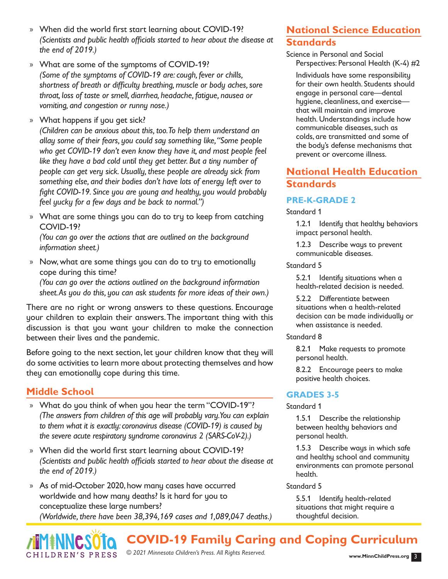- » When did the world first start learning about COVID-19? *(Scientists and public health officials started to hear about the disease at the end of 2019.)*
- » What are some of the symptoms of COVID-19? *(Some of the symptoms of COVID-19 are: cough, fever or chills, shortness of breath or difficulty breathing, muscle or body aches, sore throat, loss of taste or smell, diarrhea, headache, fatigue, nausea or vomiting, and congestion or runny nose.)*
- » What happens if you get sick?

*(Children can be anxious about this, too. To help them understand an allay some of their fears, you could say something like, "Some people who get COVID-19 don't even know they have it, and most people feel like they have a bad cold until they get better. But a tiny number of people can get very sick. Usually, these people are already sick from something else, and their bodies don't have lots of energy left over to fight COVID-19. Since you are young and healthy, you would probably feel yucky for a few days and be back to normal.")*

» What are some things you can do to try to keep from catching COVID-19?

*(You can go over the actions that are outlined on the background information sheet.)*

» Now, what are some things you can do to try to emotionally cope during this time? *(You can go over the actions outlined on the background information sheet. As you do this, you can ask students for more ideas of their own.)*

There are no right or wrong answers to these questions. Encourage your children to explain their answers. The important thing with this discussion is that you want your children to make the connection between their lives and the pandemic.

Before going to the next section, let your children know that they will do some activities to learn more about protecting themselves and how they can emotionally cope during this time.

# **Middle School**

- » What do you think of when you hear the term "COVID-19"? *(The answers from children of this age will probably vary. You can explain to them what it is exactly: coronavirus disease (COVID-19) is caused by the severe acute respiratory syndrome coronavirus 2 (SARS-CoV-2).)*
- » When did the world first start learning about COVID-19? *(Scientists and public health officials started to hear about the disease at the end of 2019.)*

» As of mid-October 2020, how many cases have occurred worldwide and how many deaths? Is it hard for you to conceptualize these large numbers? *(Worldwide, there have been 38,394,169 cases and 1,089,047 deaths.)*

# **National Science Education Standards**

Science in Personal and Social Perspectives: Personal Health (K-4) #2

Individuals have some responsibility for their own health. Students should engage in personal care—dental hygiene, cleanliness, and exercise that will maintain and improve health. Understandings include how communicable diseases, such as colds, are transmitted and some of the body's defense mechanisms that prevent or overcome illness.

# **National Health Education Standards**

## **PRE-K-GRADE 2**

Standard 1

1.2.1 Identify that healthy behaviors impact personal health.

1.2.3 Describe ways to prevent communicable diseases.

#### Standard 5

5.2.1 Identify situations when a health-related decision is needed.

5.2.2 Differentiate between situations when a health-related decision can be made individually or when assistance is needed.

#### Standard 8

8.2.1 Make requests to promote personal health.

8.2.2 Encourage peers to make positive health choices.

#### **GRADES 3-5**

Standard 1

1.5.1 Describe the relationship between healthy behaviors and personal health.

1.5.3 Describe ways in which safe and healthy school and community environments can promote personal health.

#### Standard 5

5.5.1 Identify health-related situations that might require a thoughtful decision.



**COVID-19 Family Caring and Coping Curriculum**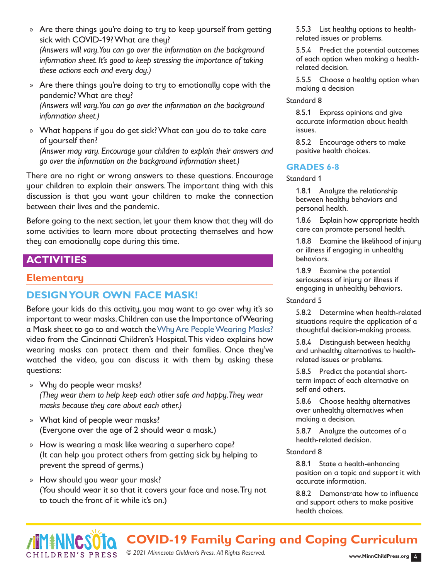- » Are there things you're doing to try to keep yourself from getting sick with COVID-19? What are they? *(Answers will vary. You can go over the information on the background information sheet. It's good to keep stressing the importance of taking these actions each and every day.)*
- » Are there things you're doing to try to emotionally cope with the pandemic? What are they?

*(Answers will vary. You can go over the information on the background information sheet.)*

» What happens if you do get sick? What can you do to take care of yourself then?

*(Answer may vary. Encourage your children to explain their answers and go over the information on the background information sheet.)*

There are no right or wrong answers to these questions. Encourage your children to explain their answers. The important thing with this discussion is that you want your children to make the connection between their lives and the pandemic.

Before going to the next section, let your them know that they will do some activities to learn more about protecting themselves and how they can emotionally cope during this time.

## **ACTIVITIES**

#### **Elementary**

CHILDREN'S PRESS

#### **DESIGN YOUR OWN FACE MASK!**

Before your kids do this activity, you may want to go over why it's so important to wear masks. Children can use the Importance of Wearing a Mask sheet to go to and watch the [Why Are People Wearing Masks?](https://youtu.be/4KRuP1QGmhU) video from the Cincinnati Children's Hospital. This video explains how wearing masks can protect them and their families. Once they've watched the video, you can discuss it with them by asking these questions:

- » Why do people wear masks? *(They wear them to help keep each other safe and happy. They wear masks because they care about each other.)*
- » What kind of people wear masks? (Everyone over the age of 2 should wear a mask.)
- » How is wearing a mask like wearing a superhero cape? (It can help you protect others from getting sick by helping to prevent the spread of germs.)
- » How should you wear your mask? (You should wear it so that it covers your face and nose. Try not to touch the front of it while it's on.)

5.5.3 List healthy options to healthrelated issues or problems.

5.5.4 Predict the potential outcomes of each option when making a healthrelated decision.

5.5.5 Choose a healthy option when making a decision

#### Standard 8

8.5.1 Express opinions and give accurate information about health issues.

8.5.2 Encourage others to make positive health choices.

#### **GRADES 6-8**

#### Standard 1

1.8.1 Analyze the relationship between healthy behaviors and personal health.

1.8.6 Explain how appropriate health care can promote personal health.

1.8.8 Examine the likelihood of injury or illness if engaging in unhealthy behaviors.

1.8.9 Examine the potential seriousness of injury or illness if engaging in unhealthy behaviors.

#### Standard 5

5.8.2 Determine when health-related situations require the application of a thoughtful decision-making process.

5.8.4 Distinguish between healthy and unhealthy alternatives to healthrelated issues or problems.

5.8.5 Predict the potential shortterm impact of each alternative on self and others.

5.8.6 Choose healthy alternatives over unhealthy alternatives when making a decision.

5.8.7 Analyze the outcomes of a health-related decision.

#### Standard 8

8.8.1 State a health-enhancing position on a topic and support it with accurate information.

8.8.2 Demonstrate how to influence and support others to make positive health choices.

**COVID-19 Family Caring and Coping Curriculum**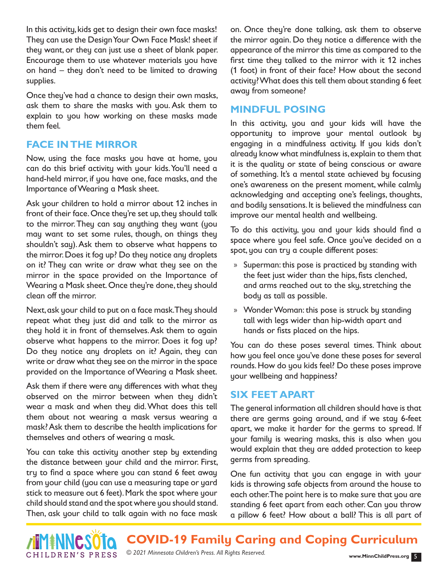In this activity, kids get to design their own face masks! They can use the Design Your Own Face Mask! sheet if they want, or they can just use a sheet of blank paper. Encourage them to use whatever materials you have on hand – they don't need to be limited to drawing supplies.

Once they've had a chance to design their own masks, ask them to share the masks with you. Ask them to explain to you how working on these masks made them feel.

## **FACE IN THE MIRROR**

Now, using the face masks you have at home, you can do this brief activity with your kids. You'll need a hand-held mirror, if you have one, face masks, and the Importance of Wearing a Mask sheet.

Ask your children to hold a mirror about 12 inches in front of their face. Once they're set up, they should talk to the mirror. They can say anything they want (you may want to set some rules, though, on things they shouldn't say). Ask them to observe what happens to the mirror. Does it fog up? Do they notice any droplets on it? They can write or draw what they see on the mirror in the space provided on the Importance of Wearing a Mask sheet. Once they're done, they should clean off the mirror.

Next, ask your child to put on a face mask. They should repeat what they just did and talk to the mirror as they hold it in front of themselves. Ask them to again observe what happens to the mirror. Does it fog up? Do they notice any droplets on it? Again, they can write or draw what they see on the mirror in the space provided on the Importance of Wearing a Mask sheet.

Ask them if there were any differences with what they observed on the mirror between when they didn't wear a mask and when they did. What does this tell them about not wearing a mask versus wearing a mask? Ask them to describe the health implications for themselves and others of wearing a mask.

You can take this activity another step by extending the distance between your child and the mirror. First, try to find a space where you can stand 6 feet away from your child (you can use a measuring tape or yard stick to measure out 6 feet). Mark the spot where your child should stand and the spot where you should stand. Then, ask your child to talk again with no face mask

on. Once they're done talking, ask them to observe the mirror again. Do they notice a difference with the appearance of the mirror this time as compared to the first time they talked to the mirror with it 12 inches (1 foot) in front of their face? How about the second activity? What does this tell them about standing 6 feet away from someone?

## **MINDFUL POSING**

In this activity, you and your kids will have the opportunity to improve your mental outlook by engaging in a mindfulness activity. If you kids don't already know what mindfulness is, explain to them that it is the quality or state of being conscious or aware of something. It's a mental state achieved by focusing one's awareness on the present moment, while calmly acknowledging and accepting one's feelings, thoughts, and bodily sensations. It is believed the mindfulness can improve our mental health and wellbeing.

To do this activity, you and your kids should find a space where you feel safe. Once you've decided on a spot, you can try a couple different poses:

- » Superman: this pose is practiced by standing with the feet just wider than the hips, fists clenched, and arms reached out to the sky, stretching the body as tall as possible.
- » Wonder Woman: this pose is struck by standing tall with legs wider than hip-width apart and hands or fists placed on the hips.

You can do these poses several times. Think about how you feel once you've done these poses for several rounds. How do you kids feel? Do these poses improve your wellbeing and happiness?

## **SIX FEET APART**

The general information all children should have is that there are germs going around, and if we stay 6-feet apart, we make it harder for the germs to spread. If your family is wearing masks, this is also when you would explain that they are added protection to keep germs from spreading.

One fun activity that you can engage in with your kids is throwing safe objects from around the house to each other. The point here is to make sure that you are standing 6 feet apart from each other. Can you throw a pillow 6 feet? How about a ball? This is all part of



**COVID-19 Family Caring and Coping Curriculum**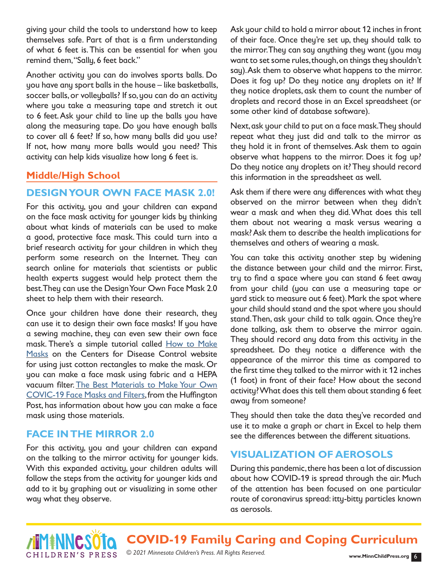giving your child the tools to understand how to keep themselves safe. Part of that is a firm understanding of what 6 feet is. This can be essential for when you remind them, "Sally, 6 feet back."

Another activity you can do involves sports balls. Do you have any sport balls in the house – like basketballs, soccer balls, or volleyballs? If so, you can do an activity where you take a measuring tape and stretch it out to 6 feet. Ask your child to line up the balls you have along the measuring tape. Do you have enough balls to cover all 6 feet? If so, how many balls did you use? If not, how many more balls would you need? This activity can help kids visualize how long 6 feet is.

## **Middle/High School**

## **DESIGN YOUR OWN FACE MASK 2.0!**

For this activity, you and your children can expand on the face mask activity for younger kids by thinking about what kinds of materials can be used to make a good, protective face mask. This could turn into a brief research activity for your children in which they perform some research on the Internet. They can search online for materials that scientists or public health experts suggest would help protect them the best. They can use the Design Your Own Face Mask 2.0 sheet to help them with their research.

Once your children have done their research, they can use it to design their own face masks! If you have a sewing machine, they can even sew their own face mask. There's a simple tutorial called [How to Make](https://www.cdc.gov/coronavirus/2019-ncov/prevent-getting-sick/how-to-make-cloth-face-covering.html)  [Masks](https://www.cdc.gov/coronavirus/2019-ncov/prevent-getting-sick/how-to-make-cloth-face-covering.html) on the Centers for Disease Control website for using just cotton rectangles to make the mask. Or you can make a face mask using fabric and a HEPA vacuum filter. [The Best Materials to Make Your Own](https://www.huffingtonpost.com.au/entry/how-to-make-face-mask-best-materials_au_5f276be9c5b68fbfc884d0b2) [COVIC-19 Face Masks and Filters,](https://www.huffingtonpost.com.au/entry/how-to-make-face-mask-best-materials_au_5f276be9c5b68fbfc884d0b2) from the Huffington Post, has information about how you can make a face mask using those materials.

## **FACE IN THE MIRROR 2.0**

For this activity, you and your children can expand on the talking to the mirror activity for younger kids. With this expanded activity, your children adults will follow the steps from the activity for younger kids and add to it by graphing out or visualizing in some other way what they observe.

Ask your child to hold a mirror about 12 inches in front of their face. Once they're set up, they should talk to the mirror. They can say anything they want (you may want to set some rules, though, on things they shouldn't say). Ask them to observe what happens to the mirror. Does it fog up? Do they notice any droplets on it? If they notice droplets, ask them to count the number of droplets and record those in an Excel spreadsheet (or some other kind of database software).

Next, ask your child to put on a face mask. They should repeat what they just did and talk to the mirror as they hold it in front of themselves. Ask them to again observe what happens to the mirror. Does it fog up? Do they notice any droplets on it? They should record this information in the spreadsheet as well.

Ask them if there were any differences with what they observed on the mirror between when they didn't wear a mask and when they did. What does this tell them about not wearing a mask versus wearing a mask? Ask them to describe the health implications for themselves and others of wearing a mask.

You can take this activity another step by widening the distance between your child and the mirror. First, try to find a space where you can stand 6 feet away from your child (you can use a measuring tape or yard stick to measure out 6 feet). Mark the spot where your child should stand and the spot where you should stand. Then, ask your child to talk again. Once they're done talking, ask them to observe the mirror again. They should record any data from this activity in the spreadsheet. Do they notice a difference with the appearance of the mirror this time as compared to the first time they talked to the mirror with it 12 inches (1 foot) in front of their face? How about the second activity? What does this tell them about standing 6 feet away from someone?

They should then take the data they've recorded and use it to make a graph or chart in Excel to help them see the differences between the different situations.

## **VISUALIZATION OF AEROSOLS**

During this pandemic, there has been a lot of discussion about how COVID-19 is spread through the air. Much of the attention has been focused on one particular route of coronavirus spread: itty-bitty particles known as aerosols.



**COVID-19 Family Caring and Coping Curriculum**